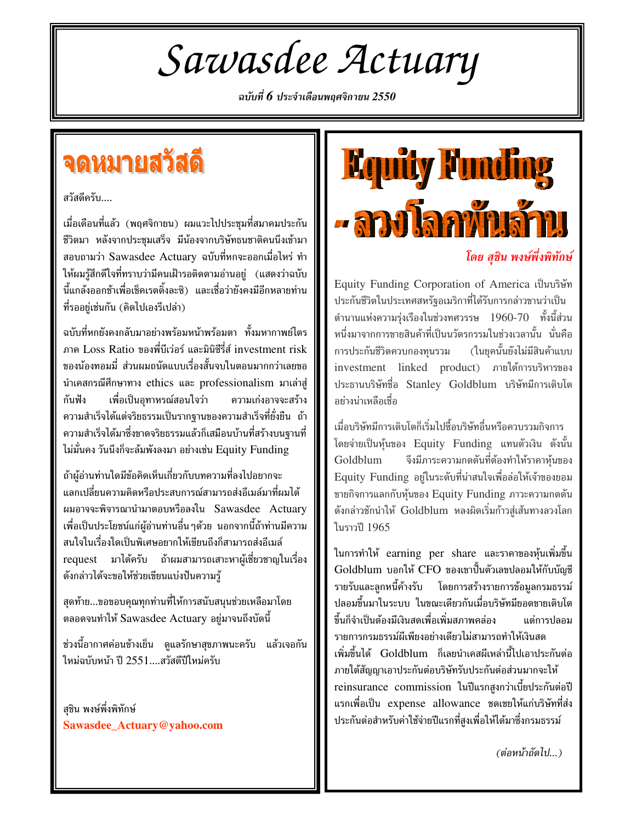Sawasdee Actuary

ฉบับที่  $\boldsymbol{6}$  ประจำเดือนพฤศจิกายน  $2550$ 

### จดหมายสวัสดี

สวัสดีครับ....

เมื่อเดือนที่แล้ว (พฤศจิกายน) ผมแวะไปประชุมที่สมาคมประกัน ชีวิตมา หลังจากประชุมเสร็จ มีน้องจากบริษัทธนชาติคนนึงเข้ามา สอบถามว่า Sawasdee Actuary ฉบับที่หกจะออกเมื่อไหร่ ทำ ให้ผมรู้สึกดีใจที่ทราบว่ามีคนเฝ้ารอติดตามอ่านอยู่ (แสดงว่าฉบับ นี้แกล้งออกช้าเพื่อเช็คเรตติ้งละซิ) และเชื่อว่ายังคงมีอีกหลายท่าน ที่รออยู่เช่นกัน (คิดไปเองรึเปล่า)

ฉบับที่หกยังคงกลับมาอย่างพร้อมหน้าพร้อมตา ทั้งมหากาพย์ไตร ภาค Loss Ratio ของพี่บีเว่อร์ และมินิซีรี่ส์ investment risk ของน้องทอมมี่ ส่วนผมถนัดแบบเรื่องสั้นจบในตอนมากกว่าเลยขอ นำเคสกรณีศึกษาทาง ethics และ professionalism มาเล่าสู่ ความเก่งอาจจะสร้าง กันฟัง เพื่อเป็นอุทาหรณ์สอนใจว่า ้ความสำเร็จได้แต่จริยธรรมเป็นรากฐานของความสำเร็จที่ยั่งยืน ถ้า ความสำเร็จได้มาซึ่งขาดจริยธรรมแล้วก็เสมือนบ้านที่สร้างบนฐานที่ ไม่มั่นคง วันนึงก็จะล้มพังลงมา อย่างเช่น Equity Funding

ถ้าผ้อ่านท่านใดมีข้อคิดเห็นเกี่ยวกับบทความที่ลงไปอยากจะ แลกเปลี่ยนความคิดหรือประสบการณ์สามารถส่งอีเมล์มาที่ผมได้ ผมอาจจะพิจารณานำมาตอบหรือลงใน Sawasdee Actuary ้เพื่อเป็นประโยชน์แก่ผู้อ่านท่านอื่น ๆด้วย นอกจากนี้ถ้าท่านมีความ สนใจในเรื่องใดเป็นพิเศษอยากให้เขียนถึงก็สามารถส่งอีเมล์ request มาได้ครับ ถ้าผมสามารถเสาะหาผู้เชี่ยวชาญในเรื่อง ดังกล่าวได้จะขอให้ช่วยเขียนแบ่งปันความรู้

สุดท้าย...ขอขอบคุณทุกท่านที่ให้การสนับสนุนช่วยเหลือมาโดย ตลอดจนทำให้ Sawasdee Actuary อยู่มาจนถึงบัดนี้

ช่วงนี้อากาศค่อนข้างเย็น ดูแลรักษาสุขภาพนะครับ แล้วเจอกัน ใหม่ฉบับหน้า ปี 2551....สวัสดีปีใหม่ครับ

สฺชิน พงษ์พึ่งพิทักษ์ Sawasdee Actuary@yahoo.com



### โดย สชิน พงษ์พึ่งพิทักษ์

Equity Funding Corporation of America เป็นบริษัท ประกันชีวิตในประเทศสหรัฐอเมริกาที่ได้รับการกล่าวขานว่าเป็น ตำนานแห่งความรุ่งเรืองในช่วงทศวรรษ 1960-70 ทั้งนี้ส่วน หนึ่งมาจากการขายสินค้าที่เป็นนวัตรกรรมในช่วงเวลานั้น นั่นคือ การประกันชีวิตควบกองทนรวม (ในยุคนั้นยังไม่มีสินค้าแบบ investment linked product) ภายใต้การบริหารของ ประธานบริษัทชื่อ Stanley Goldblum บริษัทมีการเติบโต อย่างน่าเหลือเชื่อ

เมื่อบริษัทมีการเติบโตก็เริ่มไปซื้อบริษัทอื่นหรือควบรวมกิจการ โดยจ่ายเป็นหุ้นของ Equity Funding แทนตัวเงิน ดังนั้น Goldblum จึงมีภาระความกดดันที่ต้องทำให้ราคาห้นของ Equity Funding อยู่ในระดับที่น่าสนใจเพื่อล่อให้เจ้าของยอม ขายกิจการแลกกับหุ้นของ Equity Funding ภาวะความกดดัน ดังกล่าวชักนำให้ Goldblum หลงผิดเริ่มก้าวสู่เส้นทางลวงโลก ในราวปี 1965

ในการทำให้ earning per share และราคาของหุ้นเพิ่มขึ้น Goldblum บอกให้ CFO ของเขาปั้นตัวเลขปลอมให้กับบัญชี รายรับและลูกหนี้ค้างรับ โดยการสร้างรายการข้อมูลกรมธรรม์ ปลอมขึ้นมาในระบบ ในขณะเดียวกันเมื่อบริษัทมียอดขายเติบโต ขึ้นก็จำเป็นต้องมีเงินสดเพื่อเพิ่มสภาพคล่อง แต่การปลอบ รายการกรมธรรม์ผีเพียงอย่างเดียวไม่สามารถทำให้เงินสด เพิ่มขึ้นได้ Goldblum ก็เลยนำเคสผีเหล่านี้ไปเอาประกันต่อ ภายใต้สัญญาเอาประกันต่อบริษัทรับประกันต่อส่วนมากจะให้ reinsurance commission ในปีแรกสงกว่าเบี้ยประกันต่อปี แรกเพื่อเป็น expense allowance ชดเชยให้แก่บริษัทที่ส่ง ประกันต่อสำหรับค่าใช้จ่ายปีแรกที่สูงเพื่อให้ได้มาซึ่งกรมธรรม์

(ต่อหน้าถัดไป...)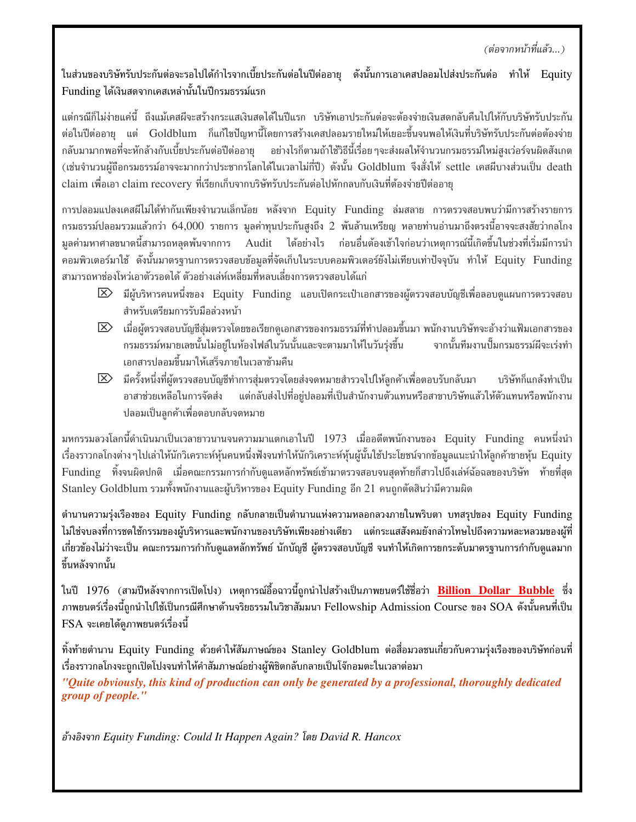### (ต่อจากหน้าที่แล้ว...)

ในส่วนของบริษัทรับประกันต่อจะรอไปได้กำไรจากเบี้ยประกันต่อในปีต่ออายุ ดังนั้นการเอาเคสปลอมไปส่งประกันต่อ ทำให้ Equity Funding ได้เงินสดจากเคสเหล่านั้นในปีกรมธรรม์แรก

แต่กรณีก็ไม่ง่ายแค่นี้ ถึงแม้เคสผีจะสร้างกระแสเงินสดได้ในปีแรก บริษัทเอาประกันต่อจะต้องจ่ายเงินสดกลับคืนไปให้กับบริษัทรับประกัน ต่อในปีต่ออายุ แต่ Goldblum ก็แก้ไขปัญหานี้โดยการสร้างเคสปลอมรายใหม่ให้เยอะขึ้นจนพอให้เงินที่บริษัทรับประกันต่อต้องจ่าย ึกลับมามากพอที่จะหักล้างกับเบี้ยประกันต่อปีต่ออาย อย่างไรก็ตามถ้าใช้วิธีนี้เรื่อย ๆจะส่งผลให้จำนวนกรมธรรม์ใหม่สงเว่อร์จนผิดสังเกต (เช่นจำนวนผู้ถือกรมธรรม์อาจจะมากกว่าประชากรโลกได้ในเวลาไม่กี่ปี) ดังนั้น Goldblum จึงสั่งให้ settle เคสผีบางส่วนเป็น death claim เพื่อเอา claim recovery ที่เรียกเก็บจากบริษัทรับประกันต่อไปหักกลบกับเงินที่ต้องจ่ายปีต่ออายุ

การปลอมแปลงเคสผีไม่ได้ทำกันเพียงจำนวนเล็กน้อย หลังจาก Equity Funding ล่มสลาย การตรวจสอบพบว่ามีการสร้างรายการ ึกรมธรรม์ปลอมรวมแล้วกว่า 64,000 รายการ มูลค่าทุนประกันสูงถึง 2 พันล้านเหรียญ หลายท่านอ่านมาถึงตรงนี้อาจจะสงสัยว่ากลโกง ้มูลค่ามหาศาลขนาดนี้สามารถหลุดพ้นจากการ Audit ได้อย่างไร ก่อนอื่นต้องเข้าใจก่อนว่าเหตุการณ์นี้เกิดขึ้นในช่วงที่เริ่มมีการนำ คอมพิวเตอร์มาใช้ ดังนั้นมาตรฐานการตรวจสอบข้อมูลที่จัดเก็บในระบบคอมพิวเตอร์ยังไม่เทียบเท่าปัจจุบัน ทำให้ Equity Funding ้สามารถหาช่องโหว่เอาตัวรอดได้ ตัวอย่างเล่ห์เหลี่ยมที่หลบเลี่ยงการตรวจสอบได้แก่

- $\boxtimes$  มีผู้บริหารคนหนึ่งของ Equity Funding แอบเปิดกระเป๋าเอกสารของผู้ตรวจสอบบัญชีเพื่อลอบดูแผนการตรวจสอบ สำหรับเตรียมการรับมือล่วงหน้า
- $|\mathbf{\Sigma}\rangle$  เมื่อผู้ตรวจสอบบัญชีสุ่มตรวจโดยขอเรียกดูเอกสารของกรมธรรม์ที่ทำปลอมขึ้นมา พนักงานบริษัทจะอ้างว่าแฟ้มเอกสารของ กรมธรรม์หมายเลขนั้นไม่อยู่ในห้องไฟล์ในวันนั้นและจะตามมาให้ในวันรุ่งขึ้น จากนั้นทีมงานปั๊มกรมธรรม์ผีจะเร่งทำ เอกสารปลอมขึ้นมาให้เสร็จภายในเวลาข้ามคืน
- $|\mathbf{\Sigma}\rangle$  มีครั้งหนึ่งที่ผู้ตรวจสอบบัญชีทำการสุ่มตรวจโดยส่งจดหมายสำรวจไปให้ลูกค้าเพื่อตอบรับกลับมา บริษัทก็แกล้งทำเป็น อาสาช่วยเหลือในการจัดส่ง แต่กลับส่งไปที่อยู่ปลอมที่เป็นสำนักงานตัวแทนหรือสาขาบริษัทแล้วให้ตัวแทนหรือพนักงาน ปลอมเป็นลูกค้าเพื่อตอบกลับจดหมาย

้มหกรรมลวงโลกนี้ดำเนินมาเป็นเวลายาวนานจนความมาแตกเอาในปี 1973 เมื่ออดีตพนักงานของ Equity Funding คนหนึ่งนำ เรื่องราวกลโกงต่าง ๆไปเล่าให้นักวิเคราะห์หุ้นคนหนึ่งฟังจนทำให้นักวิเคราะห์หุ้นผู้นั้นใช้ประโยชน์จากข้อมูลแนะนำให้ลูกค้าขายหุ้น Equity Funding ทิ้งจนผิดปกติ เมื่อคณะกรรมการกำกับดูแลหลักทรัพย์เข้ามาตรวจสอบจนสุดท้ายก็สาวไปถึงเล่ห์ฉ้อฉลของบริษัท ท้ายที่สุด Stanley Goldblum รวมทั้งพนักงานและผู้บริหารของ Equity Funding อีก 21 คนถูกตัดสินว่ามีความผิด

ตำนานความรุ่งเรืองของ Equity Funding กลับกลายเป็นตำนานแห่งความหลอกลวงภายในพริบตา บทสรุปของ Equity Funding ไม่ใช่จบลงที่การชดใช้กรรมของผู้บริหารและพนักงานของบริษัทเพียงอย่างเดียว แต่กระแสสังคมยังกล่าวโทษไปถึงความหละหลวมของผู้ที่ เกี่ยวข้องไม่ว่าจะเป็น คณะกรรมการกำกับดูแลหลักทรัพย์ นักบัญชี ผู้ตรวจสอบบัญชี จนทำให้เกิดการยกระดับมาตรฐานการกำกับดูแลมาก ขึ้นหลังจากนั้น

ในปี 1976 (สามปีหลังจากการเปิดโปง) เหตุการณ์อื้อฉาวนี้ถูกนำไปสร้างเป็นภาพยนตร์ใช้ชื่อว่า **Billion Dollar Bubble** ซึ่ง ภาพยนตร์เรื่องนี้ถูกนำไปใช้เป็นกรณีศึกษาด้านจริยธรรมในวิชาสัมมนา Fellowship Admission Course ของ SOA ดังนั้นคนที่เป็น FSA จะเคยได้ดภาพยนตร์เรื่องนี้

ทิ้งท้ายตำนาน Equity Funding ด้วยคำให้สัมภาษณ์ของ Stanley Goldblum ต่อสื่อมวลชนเกี่ยวกับความรุ่งเรืองของบริษัทก่อนที่ เรื่องราวกลโกงจะถูกเปิดโปงจนทำให้คำสัมภาษณ์อย่างผู้พิชิตกลับกลายเป็นโจ๊กอมตะในเวลาต่อมา "Quite obviously, this kind of production can only be generated by a professional, thoroughly dedicated group of people."

อ้างอิงจาก Equity Funding: Could It Happen Again? โดย David R. Hancox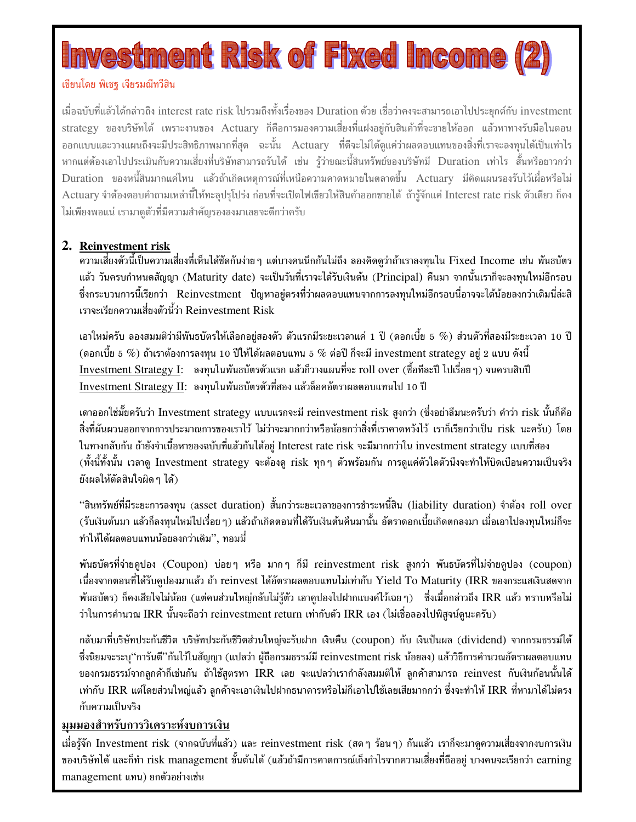### restment Risk of Fixed Income

### เขียนโดย พิเชฐ เจียรมณีทวีสิน

เมื่อฉบับที่แล้วได้กล่าวถึง interest rate risk ไปรวมถึงทั้งเรื่องของ Duration ด้วย เชื่อว่าคงจะสามารถเอาไปประยกต์กับ investment strategy ของบริษัทได้ เพราะงานของ Actuary ก็คือการมองความเสี่ยงที่แฝงอยู่กับสินค้าที่จะขายให้ออก แล้วหาทางรับมือในตอน ืออกแบบและวางแผนถึงจะมีประสิทธิภาพมากที่สุด ฉะนั้น Actuary ที่ดีจะไม่ได้ดูแค่ว่าผลตอบแทนของสิ่งที่เราจะลงทุนได้เป็นเท่าไร หากแต่ต้องเอาไปประเมินกับความเสี่ยงที่บริษัทสามารถรับได้ เช่น ร้ว่าขณะนี้สินทรัพย์ของบริษัทมี Duration เท่าไร สั้นหรือยาวกว่า Duration ของหนี้สินมากแค่ไหน แล้วถ้าเกิดเหตุการณ์ที่เหนือความคาดหมายในตลาดขึ้น Actuary มีคิดแผนรองรับไว้เผื่อหรือไม่ Actuary จำต้องตอบคำถามเหล่านี้ให้ทะลุปรุโปร่ง ก่อนที่จะเปิดไฟเขียวให้สินค้าออกขายได้ ถ้ารู้จักแค่ Interest rate risk ตัวเดียว ก็คง ไม่เพียงพอแน่ เรามาดูตัวที่มีความสำคัญรองลงมาเลยจะดีกว่าครับ

### 2. Reinvestment risk

้ความเสี่ยงตัวนี้เป็นความเสี่ยงที่เห็นได้ชัดกันง่าย ๆ แต่บางคนนึกกันไม่ถึง ลองคิดดูว่าถ้าเราลงทุนใน Fixed Income เช่น พันธบัตร ี แล้ว วันครบกำหนดสัญญา (Maturity date) จะเป็นวันที่เราจะได้รับเงินต้น (Principal) คืนมา จากนั้นเราก็จะลงทุนใหม่อีกรอบ ่ ซึ่งกระบวนการนี้เรียกว่า Reinvestment ปัญหาอยู่ตรงที่ว่าผลตอบแทนจากการลงทุนใหม่อีกรอบนี่อาจจะได้น้อยลงกว่าเดิมนี่ล่ะสิ เราจะเรียกความเสี่ยงตัวนี้ว่า Reinvestment Risk

ี เอาใหม่ครับ ลองสมมติว่ามีพันธบัตรให้เลือกอยู่สองตัว ตัวแรกมีระยะเวลาแค่ 1 ปี (ดอกเบี้ย 5  $\%$ ) ส่วนตัวที่สองมีระยะเวลา 10 ปี (ดอกเบี้ย 5  $\%$ ) ถ้าเราต้องการลงทุน 10 ปีให้ได้ผลตอบแทน 5  $\%$  ต่อปี ก็จะมี investment strategy อยู่ 2 แบบ ดังนี้ Investment Strategy I: ลงทุนในพันธบัตรตัวแรก แล้วก็วางแผนที่จะ roll over (ซื้อทีละปี ไปเรื่อย ๆ) จนครบสิบปี Investment Strategy II: ลงทุนในพันธบัตรตัวที่สอง แล้วล็อคอัตราผลตอบแทนไป 10 ปี

เดาออกใช่มั้ยครับว่า Investment strategy แบบแรกจะมี reinvestment risk สูงกว่า (ซึ่งอย่าลืมนะครับว่า คำว่า risk นั้นก็คือ ้สิ่งที่ผันผวนออกจากการประมาณการของเราไว้ ไม่ว่าจะมากกว่าหรือน้อยกว่าสิ่งที่เราคาดหวังไว้ เราก็เรียกว่าเป็น risk นะครับ) โดย ่ ในทางกลับกัน ถ้ายังจำเนื้อหาของฉบับที่แล้วกันได้อยู่ Interest rate risk จะมีมากกว่าใน investment strategy แบบที่สอง ้ (ทั้งนี้ทั้งนั้น เวลาดู Investment strategy จะต้องดู risk ทุกๆ ตัวพร้อมกัน การดูแค่ตัวใดตัวนึงจะทำให้บิดเบือนความเป็นจริง ยังผลให้ตัดสินใจผิด ๆ ได้)

"สินทรัพย์ที่มีระยะการลงทุน (asset duration) สั้นกว่าระยะเวลาของการชำระหนี้สิน (liability duration) จำต้อง roll over (รับเงินต้นมา แล้วก็ลงทุนใหม่ไปเรื่อยๆ) แล้วถ้าเกิดตอนที่ได้รับเงินต้นคืนมานั้น อัตราดอกเบี้ยเกิดตกลงมา เมื่อเอาไปลงทุนใหม่ก็จะ ้ทำให้ได้ผลตอบแทนน้อยลงกว่าเดิม'', ทอมมี่

พันธบัตรที่จ่ายคูปอง (Coupon) บ่อยๆ หรือ มากๆ ก็มี reinvestment risk สูงกว่า พันธบัตรที่ไม่จ่ายคูปอง (coupon) เนื่องจากตอนที่ได้รับคูปองมาแล้ว ถ้า reinvest ได้อัตราผลตอบแทนไม่เท่ากับ Yield To Maturity (IRR ของกระแสเงินสดจาก ี พันธบัตร) ก็คงเสียใจไม่น้อย (แต่คนส่วนใหญ่กลับไม่รู้ตัว เอาคูปองไปฝากแบงค์ไว้เฉยๆ) ซึ่งเมื่อกล่าวถึง IRR แล้ว ทราบหรือไม่ ว่าในการคำนวณ IRR นั้นจะถือว่า reinvestment return เท่ากับตัว IRR เอง (ไม่เชื่อลองไปพิสูจน์ดูนะครับ)

ิ กลับมาที่บริษัทประกันชีวิต บริษัทประกันชีวิตส่วนใหญ่จะรับฝาก เงินคืน (coupon) กับ เงินปันผล (dividend) จากกรมธรรม์ได้ ซึ่งนิยมจะระบุ''การันตี''กันไว้ในสัญญา (แปลว่า ผู้ถือกรมธรรม์มี reinvestment risk น้อยลง) แล้ววิธีการคำนวณอัตราผลตอบแทน ีของกรมธรรม์จากลูกค้าก็เช่นกัน ถ้าใช้สูตรหา IRR เลย จะแปลว่าเรากำลังสมมติให้ ลูกค้าสามารถ reinvest กับเงินก้อนนั้นได้ ี เท่ากับ IRR แต่โดยส่วนใหญ่แล้ว ลูกค้าจะเอาเงินไปฝากธนาคารหรือไม่ก็เอาไปใช้เลยเสียมากกว่า ซึ่งจะทำให้ IRR ที่หามาได้ไม่ตรง กับความเป็นจริง

### มุมมองสำหรับการวิเคราะห์งบการเงิน

เมื่อรู้จัก Investment risk (จากฉบับที่แล้ว) และ reinvestment risk (สดๆ ร้อนๆ) กันแล้ว เราก็จะมาดูความเสี่ยงจากงบการเงิน ของบริษัทได้ และก็ทำ risk management ขั้นต้นได้ (แล้วถ้ามีการคาดการณ์เก็งกำไรจากความเสี่ยงที่ถืออยู่ บางคนจะเรียกว่า earning management แทน) ยกตัวอย่างเช่น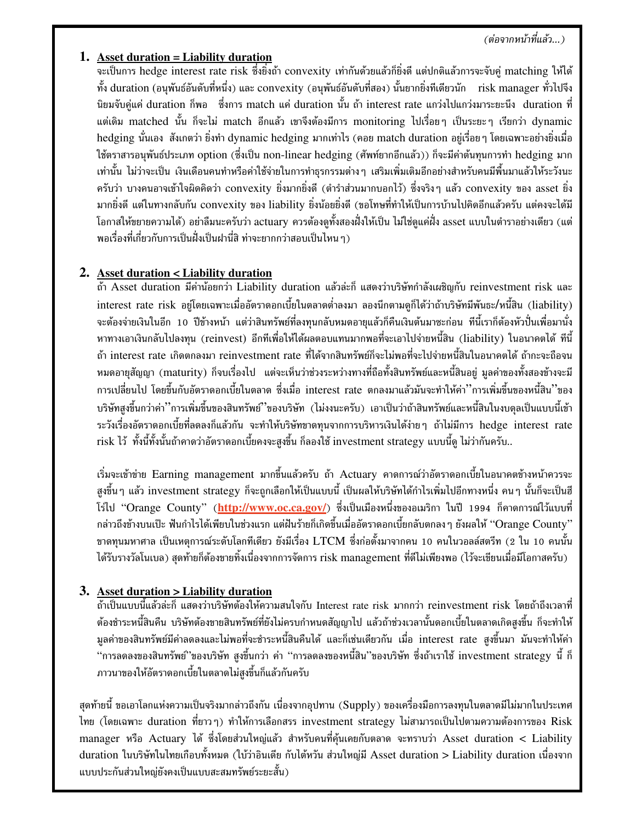### (ต่อจากหน้าที่แล้ว...)

### **1. Asset duration = Liability duration**

จะเป็นการ hedge interest rate risk ซึ่งยิ่งถ้า convexity เท่ากันด้วยแล้วก็ยิ่งดี แต่ปกติแล้วการจะจับคู่ matching ให้ได้ ทั้ง duration (อนุพันธ์อันดับที่หนึ่ง) และ convexity (อนุพันธ์อันดับที่สอง) นั้นยากยิ่งทีเดียวนัก risk manager ทั่วไปจึง นิยมจับคู่แค่ duration ก็พอ ซึ่งการ match แค่ duration นั้น ถ้า interest rate แกว่งไปแกว่งมาระยะนึง duration ที่ แต่เดิม matched นั้น ก็จะไม่ match อีกแล้ว เขาจึงต้องมีการ monitoring ไปเรื่อยๆ เป็นระยะๆ เรียกว่า dynamic hedging นั่นเอง สังเกตว่า ยิ่งทำ dynamic hedging มากเท่าไร (คอย match duration อยู่เรื่อยๆ โดยเฉพาะอย่างยิ่งเมื่อ ใช้ตราสารอนุพันธ์ประเภท option (ซึ่งเป็น non-linear hedging (ศัพท์ยากอีกแล้ว)) ก็จะมีค่าต้นทุนการทำ hedging มาก เท่านั้น ไม่ว่าจะเป็น เงินเดือนคนทำหรือค่าใช้จ่ายในการทำธุรกรรมต่างๆ เสริมเพิ่มเติมอีกอย่างสำหรับคนมีพื้นมาแล้วให้ระวังนะ ครับว่า บางคนอาจเข้าใจผิดคิดว่า convexity ยิ่งมากยิ่งดี (ตำรำส่วนมากบอกไว้) ซึ่งจริงๆ แล้ว convexity ของ asset ยิ่ง มากยิ่งดี แต่ในทางกลับกัน convexity ของ liability ยิ่งน้อยยิ่งดี (ขอโทษที่ทำให้เป็นการบ้านไปคิดอีกแล้วครับ แต่คงจะได้มี โอกาสให้ขยายความได้) อย่าลืมนะครับว่า actuary ควรต้องดูทั้งสองฝั่งให้เป็น ไม่ใช่ดูแค่ฝั่ง asset แบบในตำราอย่างเดียว (แต่ พอเรื่องที่เกี่ยวกับการเป็นฝั่งเป็นฝานี่สิ ท่าจะยากกว่าสอบเป็นไหน ๆ)

### **2. Asset duration < Liability duration**

ถ้า Asset duration มีค่าน้อยกว่า Liability duration แล้วล่ะก็ แสดงว่าบริษัทกำลังเผชิญกับ reinvestment risk และ interest rate risk อยู่โดยเฉพาะเมื่ออัตราดอกเบี้ยในตลาดต่ำลงมา ลองนึกตามดูก็ได้ว่าถ้าบริษัทมีพันธะ/หนี้สิน (liability) จะต้องจ่ายเงินในอีก 10 ปีข้างหน้า แต่ว่าสินทรัพย์ที่ลงทุนกลับหมดอายุแล้วก็คืนเงินต้นมาซะก่อน ทีนี้เราก็ต้องหัวปั่นเพื่อมานั่ง ี่ หาทางเอาเงินกลับไปลงทน (reinvest) อีกทีเพื่อให้ได้ผลตอบแทนมากพอที่จะเอาไปจ่ายหนี้สิน (liability) ในอนาคตได้ ทีนี้ ถ้า interest rate เกิดตกลงมา reinvestment rate ที่ได้จากสินทรัพย์ก็จะไม่พอที่จะไปจ่ายหนี้สินในอนาคตได้ ถ้ากะจะถือจน หมดอายุสัญญา (maturity) ก็จบเรื่องไป แต่จะเห็นว่าช่วงระหว่างทางที่ถือทั้งสินทรัพย์และหนี้สินอยู่ มูลค่าของทั้งสองข้างจะมี การเปลี่ยนไป โดยขึ้นกับอัตราดอกเบี้ยในตลาด ซึ่งเมื่อ interest rate ตกลงมาแล้วมันจะทำให้ค่า''การเพิ่มขึ้นของหนี้สิน''ของ บริษัทสูงขึ้นกว่าค่า''การเพิ่มขึ้นของสินทรัพย์''ของบริษัท (ไม่งงนะครับ) เอาเป็นว่าถ้าสินทรัพย์และหนี้สินในงบดุลเป็นแบบนี้เข้า ระวังเรื่องอัตราดอกเบี้ยที่ลดลงก็แล้วกัน จะทำให้บริษัทขาดทุนจากการบริหารเงินได้ง่ายๆ ถ้าไม่มีการ hedge interest rate risk ไว้ ทั้งนี้ทั้งนั้นถ้าคาดว่าอัตราดอกเบี้ยคงจะสูงขึ้น ก็ลองใช้ investment strategy แบบนี้ดู ไม่ว่ากันครับ…

เริ่มจะเข้าข่าย Earning management มากขึ้นแล้วครับ ถ้า Actuary คาดการณ์ว่าอัตราดอกเบี้ยในอนาคตข้างหน้าควรจะ สูงขึ้น ๆ แล้ว investment strategy ก็จะถูกเลือกให้เป็นแบบนี้ เป็นผลให้บริษัทได้กำไรเพิ่มไปอีกทางหนึ่ง คน ๆ นั้นก็จะเป็นฮี โร่ไป "Orange County" (<mark>http://www.oc.ca.gov/</mark>) ซึ่งเป็นเมืองหนึ่งของอเมริกา ในปี 1994 ก็คาดการณ์ไว้แบบที่ กล่าวถึงข้างบนเป๊ะ ฟันกำไรได้เพียบในช่วงแรก แต่ฝันร้ายก็เกิดขึ้นเมื่ออัตราดอกเบี้ยกลับตกลง ๆ ยังผลให้ "Orange County" ขาดทุนมหาศาล เป็นเหตุการณ์ระดับโลกทีเดียว ยังมีเรื่อง LTCM ซึ่งก่อตั้งมาจากคน 10 คนในวอลล์สตรีท (2 ใน 10 คนนั้น ได้รับรางวัลโนเบล) สุดท้ายก็ต้องขายทิ้งเนื่องจากการจัดการ risk management ที่ดีไม่เพียงพอ (ไว้จะเขียนเมื่อมีโอกาสครับ)

### **3. Asset duration > Liability duration**

ถ้าเป็นแบบนี้แล้วล่ะก็ แสดงว่าบริษัทต้องให้ความสนใจกับ Interest rate risk มากกว่า reinvestment risk โดยถ้าถึงเวลาที่ ต้องชำระหนี้สินคืน บริษัทต้องขายสินทรัพย์ที่ยังไม่ครบกำหนดสัญญาไป แล้วถ้าช่วงเวลานั้นดอกเบี้ยในตลาดเกิดสูงขึ้น ก็จะทำให้ มูลค่าของสินทรัพย์มีค่าลดลงและไม่พอที่จะชำระหนี้สินคืนได้ และก็เช่นเดียวกัน เมื่อ interest rate สูงขึ้นมา มันจะทำให้ค่า "การลดลงของสินทรัพย์''ของบริษัท สูงขึ้นกว่า ค่า "การลดลงของหนี้สิน''ของบริษัท ซึ่งถ้าเราใช้ investment strategy นี้ ก็ ภาวนาของให้อัตราดอกเบี้ยในตลาดไม่สูงขึ้นก็แล้วกันครับ

สุดท้ายนี้ ขอเอาโลกแห่งความเป็นจริงมากล่าวถึงกัน เนื่องจากอุปทาน (Supply) ของเครื่องมือการลงทุนในตลาดมีไม่มากในประเทศ ไทย (โดยเฉพาะ duration ที่ยาวๆ) ทำให้การเลือกสรร investment strategy ไม่สามารถเป็นไปตามความต้องการของ Risk manager หรือ Actuary ได้ ซึ่งโดยส่วนใหญ่แล้ว สำหรับคนที่คุ้นเคยกับตลาด จะทราบว่า Asset duration < Liability duration ในบริษัทในไทยเกือบทั้งหมด (ใบ้ว่าอินเดีย กับไต้หวัน ส่วนใหญ่มี Asset duration > Liability duration เนื่องจาก แบบประกันส่วนใหญ่ยังคงเป็นแบบสะสมทรัพย์ระยะสั้น)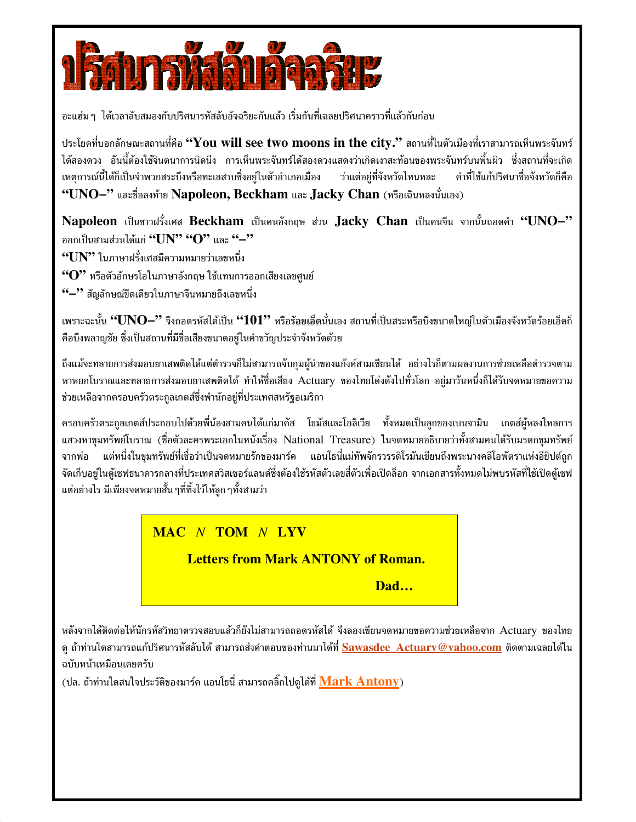

้อะแฮ่ม ๆ ได้เวลาลับสมองกับปริศนารหัสลับอัจฉริยะกันแล้ว เริ่มกันที่เฉลยปริศนาคราวที่แล้วกันก่อน

ประโยคที่บอกลักษณะสถานที่คือ "You will see two moons in the city." สถานที่ในตัวเมืองที่เราสามารถเห็นพระจันทร์ ได้สองดวง อันนี้ต้องใช้จินตนาการนิดนึง การเห็นพระจันทร์ได้สองดวงแสดงว่าเกิดเงาสะท้อนของพระจันทร์บนพื้นผิว ซึ่งสถานที่จะเกิด เหตุการณ์นี้ได้ก็เป็นจำพวกสระบึงหรือทะเลสาบซึ่งอยู่ในตัวอำเภอเมือง ว่าแต่อยู่ที่จังหวัดไหนหละ คำที่ใช้แก้ปริศนาชื่อจังหวัดก็คือ "UNO-" และชื่อลงท้าย Napoleon, Beckham และ Jacky Chan (หรือเฉินหลงนั่นเอง)

Napoleon เป็นชาวฝรั่งเศส Beckham เป็นคนอังกฤษ ส่วน Jacky Chan เป็นคนจีน จากนั้นถอดคำ "UNO-" ออกเป็นสามส่วนได้แก่ "UN" "O" และ "-"

 $``UN"$ ในภาษาฝรั่งเศสมีความหมายว่าเลขหนึ่ง

 $``\mathrm{O}"$  หรือตัวอักษรโอในภาษาอังกฤษ ใช้แทนการออกเสียงเลขศูนย์

\*•๋—'' สัญลักษณ์ขีดเดียวในภาษาจีนหมายถึงเลขหนึ่ง

เพราะฉะนั้น "UNO–" จึงถอดรหัสได้เป็น "101" หรือ<u>ร้อยเอ็ด</u>นั่นเอง สถานที่เป็นสระหรือบึงขนาดใหญ่ในตัวเมืองจังหวัดร้อยเอ็ดก็ ้คือบึงพลาญชัย ซึ่งเป็นสถานที่มีชื่อเสียงขนาดอยในคำขวัญประจำจังหวัดด้วย

ถึงแม้จะทลายการส่งมอบยาเสพติดได้แต่ตำรวจก็ไม่สามารถจับกุมผู้นำของแก๊งค์สามเซียนได้ อย่างไรก็ตามผลงานการช่วยเหลือตำรวจตาม หาหยกโบราณและทลายการส่งมอบยาเสพติดได้ ทำให้ชื่อเสียง Actuary ของไทยโด่งดังไปทั่วโลก อยู่มาวันหนึ่งก็ได้รับจดหมายขอความ ช่วยเหลือจากครอบครัวตระกลเกตส์ซึ่งพำนักอย่ที่ประเทศสหรัฐอเมริกา

ี ครอบครัวตระกูลเกตส์ประกอบไปด้วยพี่น้องสามคนได้แก่มาคัส โธมัสและโอลิเวีย ทั้งหมดเป็นลูกของเบนจามิน เกตส์ผู้หลงใหลการ แสวงหาขุมทรัพย์โบราณ (ชื่อตัวละครพระเอกในหนังเรื่อง National Treasure) ในจดหมายอธิบายว่าทั้งสามคนได้รับมรดกขุมทรัพย์ ี แต่หนึ่งในขุมทรัพย์ที่เชื่อว่าเป็นจดหมายรักของมาร์ค แอนโธนี่แม่ทัพจักรวรรดิโรมันเขียนถึงพระนางคลีโอพัตราแห่งอียิปต์ถูก จากพ่อ จัดเก็บอยู่ในตู้เซฟธนาคารกลางที่ประเทศสวิสเซอร์แลนด์ซึ่งต้องใช้รหัสตัวเลขสี่ตัวเพื่อเปิดล็อก จากเอกสารทั้งหมดไม่พบรหัสที่ใช้เปิดตู้เซฟ ้แต่อย่างไร มีเพียงจดหมายสั้น ๆที่ทิ้งไว้ให้ลูก ๆทั้งสามว่า

### **MAC N TOM N LYV**

**Letters from Mark ANTONY of Roman.** 

Dad...

หลังจากได้ติดต่อให้นักรหัสวิทยาตรวจสอบแล้วก็ยังไม่สามารถถอดรหัสได้ จึงลองเขียนจดหมายขอความช่วยเหลือจาก Actuary ของไทย ีดู ถ้าท่านใดสามารถแก้ปริศนารหัสลับได้ สามารถส่งคำตอบของท่านมาได้ที่ <mark>Sawasdee\_Actuary@yahoo.com</mark> ติดตามเฉลยได้ใน ฉบับหน้าเหมือนเคยครับ

(ปล. ถ้าท่านใดสนใจประวัติของมาร์ค แอนโธนี่ สามารถคลิ๊กไปดได้ที่ Mark Antony)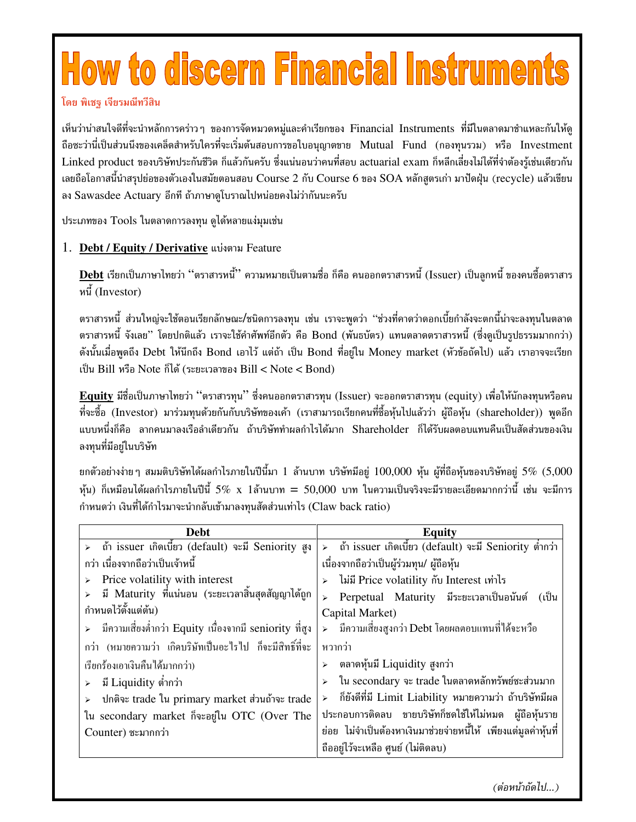# **How to discern Financial Instruments**

#### โดย พิเชร เจียรมณีทวีสิน

้เห็นว่าน่าสนใจดีที่จะนำหลักการคร่าว ๆ ของการจัดหมวดหมู่และคำเรียกของ Financial Instruments ที่มีในตลาดมาชำแหละกันให้ดู ้ถือซะว่านี่เป็นส่วนนึงของเคล็ดสำหรับใครที่จะเริ่มต้นสอบการขอใบอนุญาตขาย Mutual Fund (กองทุนรวม) หรือ Investment Linked product ของบริษัทประกันชีวิต ก็แล้วกันครับ ซึ่งแน่นอนว่าคนที่สอบ actuarial exam ก็หลีกเลี่ยงไม่ได้ที่จำต้องรู้เช่นเดียวกัน เลยถือโอกาสนี้นำสรุปย่อของตัวเองในสมัยตอนสอบ Course 2 กับ Course 6 ของ SOA หลักสูตรเก่า มาปัดฝุ่น (recycle) แล้วเขียน ลง Sawasdee Actuary อีกที ถ้าภาษาดูโบราณไปหน่อยคงไม่ว่ากันนะครับ

ประเภทของ Tools ในตลาดการลงทุน ดูได้หลายแง่มุมเช่น

### 1. Debt / Equity / Derivative แบ่งตาม Feature

<u>Debt</u> เรียกเป็นภาษาไทยว่า ''ตราสารหนี้'' ความหมายเป็นตามชื่อ ก็คือ คนออกตราสารหนี้ (Issuer) เป็นลูกหนี้ ของคนซื้อตราสาร หนี้ (Investor)

้ตราสารหนี้ ส่วนใหญ่จะใช้ตอนเรียกลักษณะ/ชนิดการลงทุน เช่น เราจะพูดว่า "ช่วงที่คาดว่าดอกเบี้ยกำลังจะตกนี้น่าจะลงทุนในตลาด ีตราสารหนี้ จังเลย" โดยปกติแล้ว เราจะใช้คำศัพท์อีกตัว คือ Bond (พันธบัตร) แทนตลาดตราสารหนี้ (ซึ่งดูเป็นรูปธรรมมากกว่า) ี ดังนั้นเมื่อพูดถึง Debt ให้นึกถึง Bond เอาไว้ แต่ถ้า เป็น Bond ที่อยู่ใน Money market (หัวข้อถัดไป) แล้ว เราอาจจะเรียก เป็น Bill หรือ Note ก็ได้ (ระยะเวลาของ Bill < Note < Bond)

Equity มีชื่อเป็นภาษาไทยว่า "ตราสารทุน" ซึ่งคนออกตราสารทุน (Issuer) จะออกตราสารทุน (equity) เพื่อให้นักลงทุนหรือคน ที่จะซื้อ (Investor) มาร่วมทุนด้วยกันกับบริษัทของเค้า (เราสามารถเรียกคนที่ซื้อหุ้นไปแล้วว่า ผู้ถือหุ้น (shareholder)) พูดอีก ีแบบหนึ่งก็คือ ลากคนมาลงเรือลำเดียวกัน ถ้าบริษัททำผลกำไรได้มาก Shareholder ก็ได้รับผลตอบแทนคืนเป็นสัดส่วนของเงิน ลงทุนที่มีอยู่ในบริษัท

ยกตัวอย่างง่าย ๆ สมมติบริษัทได้ผลกำไรภายในปีนี้มา 1 ล้านบาท บริษัทมีอยู่ 100,000 หุ้น ผู้ที่ถือหุ้นของบริษัทอยู่ 5% (5,000 หุ้น) ก็เหมือนได้ผลกำไรภายในปีนี้ 5% x 1ล้านบาท = 50,000 บาท ในความเป็นจริงจะมีรายละเอียดมากกว่านี้ เช่น จะมีการ กำหนดว่า เงินที่ได้กำไรมาจะนำกลับเข้ามาลงทุนสัดส่วนเท่าไร (Claw back ratio)

| <b>Debt</b>                                               | <b>Equity</b>                                                    |
|-----------------------------------------------------------|------------------------------------------------------------------|
| ี้ ถ้ำ issuer เกิดเบี้ยว (default) จะมี Seniority สูง     | > ถ้ำ issuer เกิดเบี้ยว (default) จะมี Seniority ต่ำกว่า         |
| ึกว่า เนื่องจากถือว่าเป็นเจ้าหนี้                         | ้เนื่องจากถือว่าเป็นผู้ร่วมทุน/ ผู้ถือหุ้น                       |
| Price volatility with interest                            | ไม่มี Price volatility กับ Interest เท่าไร                       |
| มี Maturity ที่แน่นอน (ระยะเวลาสิ้นสุดสัญญาได้ถูก         | Perpetual Maturity มีระยะเวลาเป็นอนันต์ (เป็น                    |
| กำหนดไว้ตั้งแต่ต้น)                                       | Capital Market)                                                  |
| > มีความเสี่ยงต่ำกว่า Equity เนื่องจากมี seniority ที่สูง | > มีความเสี่ยงสูงกว่า Debt โดยผลตอบแทนที่ได้จะหวือ               |
| กว่า (หมายความว่า เกิดบริษัทเป็นอะไรไป ก็จะมีสิทธิ์ที่จะ  | หวากว่า                                                          |
| เรียกร้องเอาเงินคืนได้มากกว่า)                            | ิตลาดหุ้นมี Liquidity สูงกว่า                                    |
| มี Liquidity ต่ำกว่า                                      | ใน secondary จะ trade ในตลาดหลักทรัพย์ชะส่วนมาก                  |
| ปกติจะ trade ใน primary market ส่วนถ้าจะ trade            | ก็ยังดีที่มี Limit Liability หมายความว่า ถ้าบริษัทมีผล           |
| ใน secondary market ก็จะอยู่ใน OTC (Over The              | ประกอบการติดลบ ขายบริษัทก็ชดใช้ให้ไม่หมด ผ้ถือหุ้นราย            |
| Counter) ซะมากกว่า                                        | ้ย่อย ไม่จำเป็นต้องหาเงินมาช่วยจ่ายหนี้ให้ เพียงแต่มูลค่าหุ้นที่ |
|                                                           | ถืออยู่ไว้จะเหลือ ศูนย์ (ไม่ติดลบ)                               |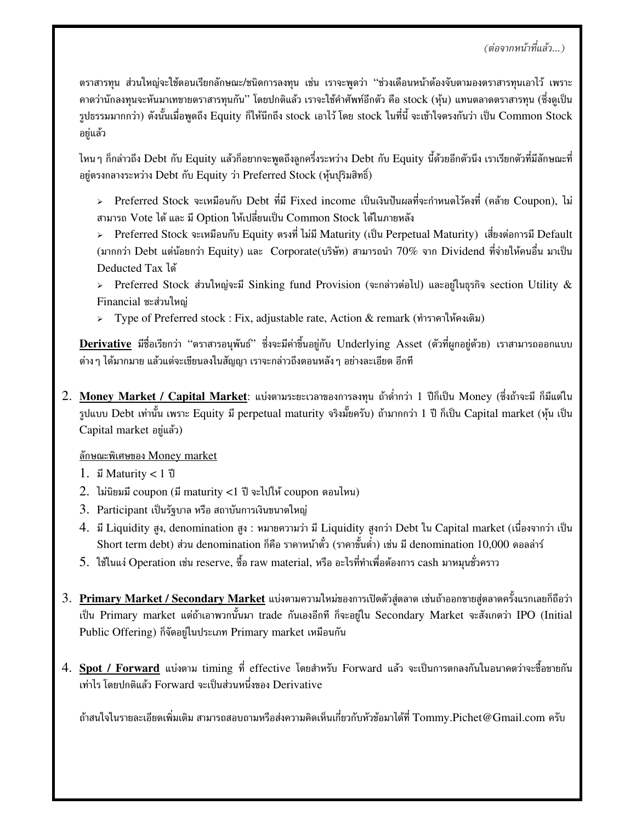ตราสารทุน ส่วนใหญ่จะใช้ตอนเรียกลักษณะ/ชนิดการลงทุน เช่น เราจะพูดว่า "ช่วงเดือนหน้าต้องจับตามองตราสารทุนเอาไว้ เพราะ ี คาดว่านักลงทุนจะหันมาเทขายตราสารทุนกัน" โดยปกติแล้ว เราจะใช้คำศัพท์อีกตัว คือ stock (หุ้น) แทนตลาดตราสารทุน (ซึ่งดูเป็น รูปธรรมมากกว่า) ดังนั้นเมื่อพูดถึง Equity ก็ให้นึกถึง stock เอาไว้ โดย stock ในที่นี้ จะเข้าใจตรงกันว่า เป็น Common Stock อยู่แล้ว

ไหนๆ ก็กล่าวถึง Debt กับ Equity แล้วก็อยากจะพูดถึงลูกครึ่งระหว่าง Debt กับ Equity นี้ด้วยอีกตัวนึง เราเรียกตัวที่มีลักษณะที่ อยู่ตรงกลางระหว่าง Debt กับ Equity ว่า Preferred Stock (หุ้นปริมสิทธิ์)

> Preferred Stock จะเหมือนกับ Debt ที่มี Fixed income เป็นเงินปันผลที่จะกำหนดไว้คงที่ (คล้าย Coupon), ไม่ สามารถ Vote ได้ และ มี Option ให้เปลี่ยนเป็น Common Stock ได้ในภายหลัง

> Preferred Stock จะเหมือนกับ Equity ตรงที่ ไม่มี Maturity (เป็น Perpetual Maturity) เสี่ยงต่อการมี Default (มากกว่า Debt แต่น้อยกว่า Equity) และ Corporate(บริษัท) สามารถนำ  $70\%$  จาก Dividend ที่จ่ายให้คนอื่น มาเป็น Deducted Tax ได้

> Preferred Stock ส่วนใหญ่จะมี Sinking fund Provision (จะกล่าวต่อไป) และอยู่ในธุรกิจ section Utility  $\&$ Financial ซะส่วนใหญ่

> Type of Preferred stock : Fix, adjustable rate, Action & remark (ทำราคาให้คงเดิม)

Derivative มีชื่อเรียกว่า "ตราสารอนุพันธ์" ซึ่งจะมีค่าขึ้นอยู่กับ Underlying Asset (ตัวที่ผูกอยู่ด้วย) เราสามารถออกแบบ ต่าง ๆ ได้มากมาย แล้วแต่จะเขียนลงในสัญญา เราจะกล่าวถึงตอนหลัง ๆ อย่างละเอียด อีกที

2. Money Market / Capital Market: แบ่งตามระยะเวลาของการลงทุน ถ้าต่ำกว่า 1 ปีก็เป็น Money (ซึ่งถ้าจะมี ก็มีแต่ใน รปแบบ Debt เท่านั้น เพราะ Equity มี perpetual maturity จริงมั๊ยครับ) ถ้ามากกว่า 1 ปี ก็เป็น Capital market (ห้น เป็น Capital market อยู่แล้ว)

ลักษณะพิเศษของ Money market

- 1.  $\vec{u}$  Maturity < 1  $\vec{v}$
- 2. ไม่นิยมมี coupon (มี maturity <1 ปี จะไปให้ coupon ตอนไหน)
- 3. Participant เป็นรัฐบาล หรือ สถาบันการเงินขนาดใหญ่
- 4. มี Liquidity สูง, denomination สูง : หมายความว่า มี Liquidity สูงกว่า Debt ใน Capital market (เนื่องจากว่า เป็น Short term debt) ส่วน denomination ก็คือ ราคาหน้าตั๋ว (ราคาขั้นต่ำ) เช่น มี denomination 10,000 ดอลล่าร์
- 5. ใช้ในแง่ Operation เช่น reserve, ซื้อ raw material, หรือ อะไรที่ทำเพื่อต้องการ cash มาหมุนชั่วคราว
- 3. Primary Market / Secondary Market แบ่งตามความใหม่ของการเปิดตัวสู่ตลาด เช่นถ้าออกขายสู่ตลาดครั้งแรกเลยก็ถือว่า เป็น Primary market แต่ถ้าเอาพวกนั้นมา trade กันเองอีกที ก็จะอยู่ใน Secondary Market จะสังเกตว่า IPO (Initial Public Offering) ก็จัดอยู่ในประเภท Primary market เหมือนกัน
- 4. Spot / Forward แบ่งตาม timing ที่ effective โดยสำหรับ Forward แล้ว จะเป็นการตกลงกันในอนาคตว่าจะซื้อขายกัน เท่าไร โดยปกติแล้ว Forward จะเป็นส่วนหนึ่งของ Derivative

้ถ้าสนใจในรายละเอียดเพิ่มเติม สามารถสอบถามหรือส่งความคิดเห็นเกี่ยวกับหัวข้อมาได้ที่ Tommy.Pichet@Gmail.com ครับ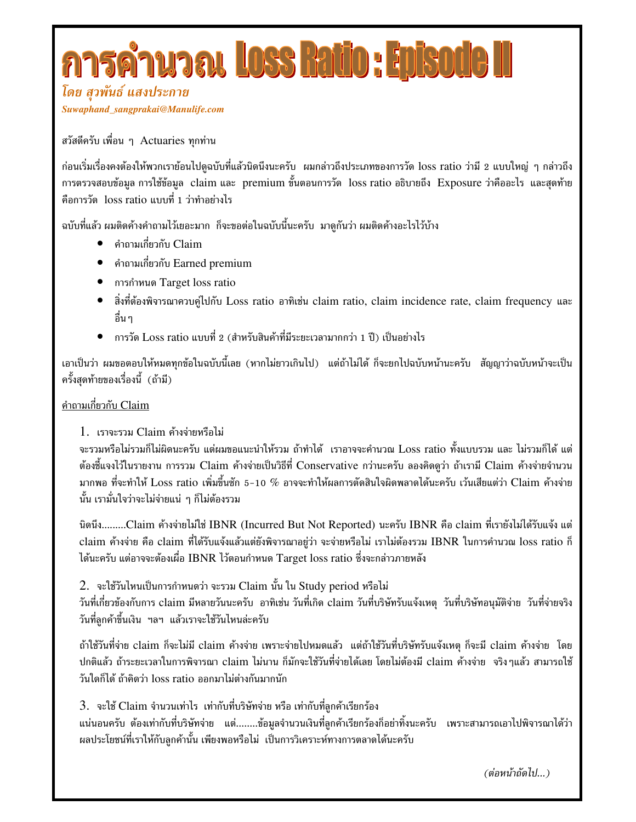# **ารคำนวณ Loss Ratio : Episo**

โดย สุวพันธ์ แสงประกาย *Suwaphand\_sangprakai@Manulife.com*

สวัสดีครับ เพื่อน ๆ Actuaries ทุกท่าน

ก่อนเริ่มเรื่องคงต้องให้พวกเราย้อนไปดูฉบับที่แล้วนิดนึงนะครับ ผมกล่าวถึงประเภทของการวัด loss ratio ว่ามี 2 แบบใหญ่ ๆ กล่าวถึง การตรวจสอบข้อมูล การใช้ข้อมูล claim และ premium ขั้นตอนการวัด loss ratio อธิบายถึง Exposure ว่าคืออะไร และสุดท้าย คือการวัด loss ratio แบบที่ 1 ว่าทำอย่างไร

ฉบับที่แล้ว ผมติดค้างคำถามไว้เยอะมาก ก็จะขอต่อในฉบับนี้นะครับ มาดูกันว่า ผมติดค้างอะไรไว้บ้าง

- $\bullet$  คำถามเกี่ยวกับ  ${\rm Claim}$
- $\bullet$  คำถามเกี่ยวกับ Earned premium
- $\bullet$  การกำหนด Target loss ratio
- สิ่งที่ต้องพิจารณาควบคู่ไปกับ Loss ratio อาทิเช่น claim ratio, claim incidence rate, claim frequency และ อื่น ๆ
- $\bullet$   $\;$  การวัด Loss ratio แบบที่ 2 (สำหรับสินค้าที่มีระยะเวลามากกว่า 1 ปี) เป็นอย่างไร

เอาเป็นว่า ผมขอตอบให้หมดทุกข้อในฉบับนี้เลย (หากไม่ยาวเกินไป) แต่ถ้าไม่ได้ ก็จะยกไปฉบับหน้านะครับ สัญญาว่าฉบับหน้าจะเป็น ครั้งสดท้ายของเรื่องนี้ (ถ้ามี)

### <u>คำถามเกี่ยวกับ Claim</u>

1. เราจะรวม Claim ค้างจ่ายหรือไม่

จะรวมหรือไม่รวมก็ไม่ผิดนะครับ แต่ผมขอแนะนำให้รวม ถ้าทำได้ เราอาจจะคำนวณ Loss ratio ทั้งแบบรวม และ ไม่รวมก็ได้ แต่ ต้องชี้แจงไว้ในรายงาน การรวม Claim ค้างจ่ายเป็นวิธีที่ Conservative กว่านะครับ ลองคิดดูว่า ถ้าเรามี Claim ค้างจ่ายจำนวน มากพอ ที่จะทำให้ Loss ratio เพิ่มขึ้นซัก 5-10 % อาจจะทำให้ผลการตัดสินใจผิดพลาดได้นะครับ เว้นเสียแต่ว่า Claim ค้างจ่าย นั้น เรามั่นใจว่าจะไม่จ่ายแน่ ๆ ก็ไม่ต้องรวม

นิดนึง.........Claim ค้างจ่ายไม่ใช่ IBNR (Incurred But Not Reported) นะครับ IBNR คือ claim ที่เรายังไม่ได้รับแจ้ง แต่ claim ค้างจ่าย คือ claim ที่ได้รับแจ้งแล้วแต่ยังพิจารณาอยู่ว่า จะจ่ายหรือไม่ เราไม่ต้องรวม IBNR ในการคำนวณ loss ratio ก็ ได้นะครับ แต่อาจจะต้องเผื่อ IBNR ไว้ตอนกำหนด Target loss ratio ซึ่งจะกล่าวภายหลัง

 $2. \,$  จะใช้วันไหนเป็นการกำหนดว่า จะรวม  ${\rm Claim}$  นั้น ใน  ${\rm Study}$  period หรือไม่

วันที่เกี่ยวข้องกับการ claim มีหลายวันนะครับ อาทิเช่น วันที่เกิด claim วันที่บริษัทรับแจ้งเหตุ วันที่บริษัทอนุมัติจ่าย วันที่จ่ายจริง " วันที่ลูกค้าขึ้นเงิน ฯลฯ แล้วเราจะใช้วันไหนล่ะครับ

ถ้าใช้วันที่จ่าย claim ก็จะไม่มี claim ค้างจ่าย เพราะจ่ายไปหมดแล้ว แต่ถ้าใช้วันที่บริษัทรับแจ้งเหตุ ก็จะมี claim ค้างจ่าย โดย ปกติแล้ว ถ้าระยะเวลาในการพิจารณา claim ไม่นาน ก็มักจะใช้วันที่จ่ายได้เลย โดยไม่ต้องมี claim ค้างจ่าย จริงๆแล้ว สามารถใช้ วันใดก็ได้ ถ้าคิดว่า loss ratio ออกมาไม่ต่างกันมากนัก

3. จะใช้ Claim จำนวนเท่าไร เท่ากับที่บริษัทจ่าย หรือ เท่ากับที่ลูกค้าเรียกร้อง

แน่นอนครับ ต้องเท่ากับที่บริษัทจ่าย แต่........ข้อมูลจำนวนเงินที่ลูกค้าเรียกร้องก็อย่าทิ้งนะครับ เพราะสามารถเอาไปพิจารณาได้ว่า ผลประโยชน์ที่เราให้กับลูกค้านั้น เพียงพอหรือไม่ เป็นการวิเคราะห์ทางการตลาดได้นะครับ

(ต่อหน้าถัดไป...)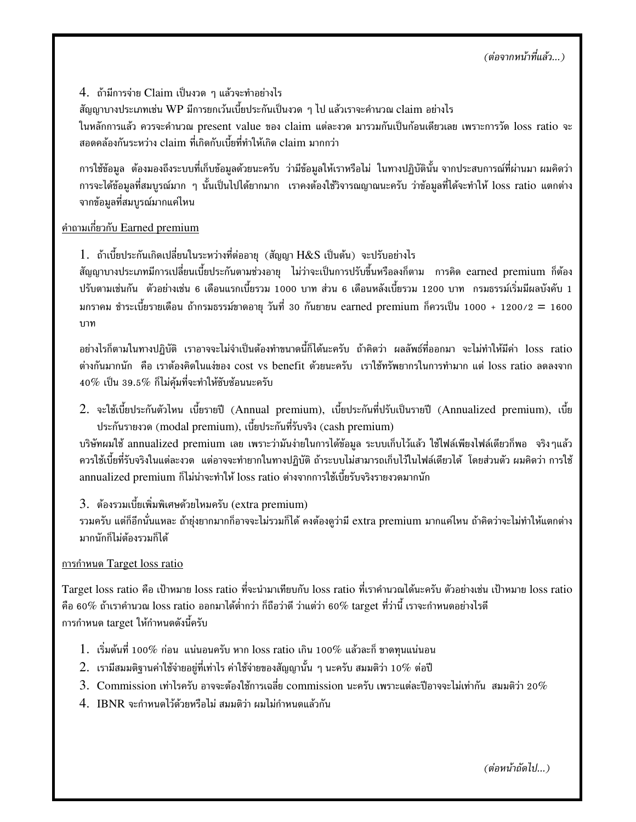(ต่อจากหน้าที่แล้ว...)

 $4.$  ถ้ามีการจ่าย  ${\rm Claim}$  เป็นงวด ๆ แล้วจะทำอย่างไร

สัญญาบางประเภทเช่น WP มีการยกเว้นเบี้ยประกันเป็นงวด ๆ ไป แล้วเราจะคำนวณ claim อย่างไร

ในหลักการแล้ว ควรจะคำนวณ present value ของ claim แต่ละงวด มารวมกันเป็นก้อนเดียวเลย เพราะการวัด loss ratio จะ สอดคล้องกันระหว่าง claim ที่เกิดกับเบี้ยที่ทำให้เกิด claim มากกว่า

1#,2 %''-+' (,2- -.,21&&
!. 1'"W%5 " 97. -. การจะได้ข้อมูลที่สมบูรณ์มาก ๆ นั้นเป็นไปได้ยากมาก เราคงต้องใช้วิจารณญาณนะครับ ว่าข้อมูลที่ได้จะทำให้ loss ratio แตกต่าง จากข้อมูลที่สมบูรณ์มากแค่ไหน

### <u>คำถามเกี่ยวกับ Earned premium</u>

 $1.$  ถ้าเบี้ยประกันเกิดเปลี่ยนในระหว่างที่ต่ออายุ (สัญญา $\rm\,H\&S$  เป็นต้น) จะปรับอย่างไร

สัญญาบางประเภทมีการเปลี่ยนเบี้ยประกันตามช่วงอายุ ไม่ว่าจะเป็นการปรับขึ้นหรือลงก็ตาม การคิด earned premium ก็ต้อง ปรับตามเช่นกัน ตัวอย่างเช่น 6 เดือนแรกเบี้ยรวม 1000 บาท ส่วน 6 เดือนหลังเบี้ยรวม 1200 บาท กรมธรรม์เริ่มมีผลบังคับ 1 มกราคม ชำระเบี้ยรายเดือน ถ้ากรมธรรม์ขาดอายุ วันที่ 30 กันยายน earned premium ก็ควรเป็น 1000 + 1200/2 = 1600  $\,$ ำเวท

อย่างไรก็ตามในทางปฏิบัติ เราอาจจะไม่จำเป็นต้องทำขนาดนี้ก็ได้นะครับ ถ้าคิดว่า ผลลัพธ์ที่ออกมา จะไม่ทำให้มีค่า loss ratio ต่างกันมากนัก คือ เราต้องคิดในแง่ของ cost vs benefit ด้วยนะครับ เราใช้ทรัพยากรในการทำมาก แต่ loss ratio ลดลงจาก  $40\%$  เป็น 39.5 $\%$  ก็ไม่ค้มที่จะทำให้ชับซ้อนนะครับ

 $2.$  จะใช้เบี้ยประกันตัวไหน เบี้ยรายปี (Annual premium), เบี้ยประกันที่ปรับเป็นรายปี (Annualized premium), เบี้ย ประกันรายงวด (modal premium), เบี้ยประกันที่รับจริง (cash premium)

บริษัทผมใช้ annualized premium เลย เพราะว่ามันง่ายในการได้ข้อมูล ระบบเก็บไว้แล้ว ใช้ไฟล์เพียงไฟล์เดียวก็พอ จริงๆแล้ว ควรใช้เบี้ยที่รับจริงในแต่ละงวด แต่อาจจะทำยากในทางปฏิบัติ ถ้าระบบไม่สามารถเก็บไว้ในไฟล์เดียวได้ โดยส่วนตัว ผมคิดว่า การใช้ annualized premium ก็ไม่น่าจะทำให้ loss ratio ต่างจากการใช้เบี้ยรับจริงรายงวดมากนัก

### $3. \;$  ต้องรวมเบี้ยเพิ่มพิเศษด้วยไหมครับ (extra premium)

รวมครับ แต่ก็อีกนั่นแหละ ถ้ายุ่งยากมากก็อาจจะไม่รวมก็ได้ คงต้องดูว่ามี extra premium มากแค่ไหน ถ้าคิดว่าจะไม่ทำให้แตกต่าง มากนักก็ไม่ต้องรวมก็ได้

#### การกำหนด Target loss ratio

Target loss ratio คือ เป้าหมาย loss ratio ที่จะนำมาเทียบกับ loss ratio ที่เราคำนวณได้นะครับ ตัวอย่างเช่น เป้าหมาย loss ratio คือ 60% ถ้าเราคำนวณ loss ratio ออกมาได้ต่ำกว่า ก็ถือว่าดี ว่าแต่ว่า 60% target ที่ว่านี้ เราจะกำหนดอย่างไรดี การกำหนด target ให้กำหนดดังนี้ครับ

- $1.$  เริ่มต้นที่ 100% ก่อน แน่นอนครับ หาก loss ratio เกิน 100% แล้วละก็ ขาดทุนแน่นอน
- $2.\;$  เรามีสมมติฐานค่าใช้จ่ายอยู่ที่เท่าไร ค่าใช้จ่ายของสัญญานั้น ๆ นะครับ สมมติว่า 10 $\%$  ต่อปี
- $3.\hskip2em$  Commission เท่าไรครับ อาจจะต้องใช้การเฉลี่ย commission นะครับ เพราะแต่ละปีอาจจะไม่เท่ากัน สมมติว่า 20 $\%$
- $4. \ \ \mathrm{IBNR} \$ จะกำหนดไว้ด้วยหรือไม่ สมมติว่า ผมไม่กำหนดแล้วกัน

(ต่อหน้าถัดไป...)